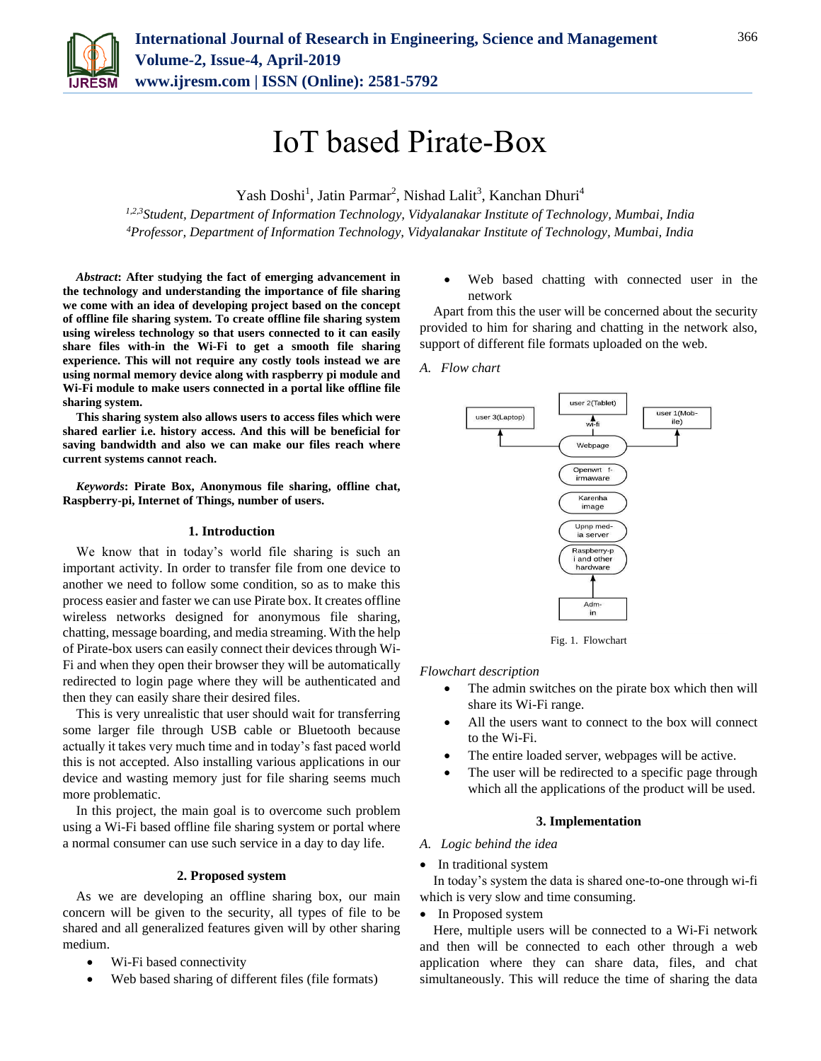

# IoT based Pirate-Box

Yash Doshi<sup>1</sup>, Jatin Parmar<sup>2</sup>, Nishad Lalit<sup>3</sup>, Kanchan Dhuri<sup>4</sup>

*1,2,3Student, Department of Information Technology, Vidyalanakar Institute of Technology, Mumbai, India 4Professor, Department of Information Technology, Vidyalanakar Institute of Technology, Mumbai, India*

*Abstract***: After studying the fact of emerging advancement in the technology and understanding the importance of file sharing we come with an idea of developing project based on the concept of offline file sharing system. To create offline file sharing system using wireless technology so that users connected to it can easily share files with-in the Wi-Fi to get a smooth file sharing experience. This will not require any costly tools instead we are using normal memory device along with raspberry pi module and Wi-Fi module to make users connected in a portal like offline file sharing system.**

**This sharing system also allows users to access files which were shared earlier i.e. history access. And this will be beneficial for saving bandwidth and also we can make our files reach where current systems cannot reach.**

*Keywords***: Pirate Box, Anonymous file sharing, offline chat, Raspberry-pi, Internet of Things, number of users.**

# **1. Introduction**

We know that in today's world file sharing is such an important activity. In order to transfer file from one device to another we need to follow some condition, so as to make this process easier and faster we can use Pirate box. It creates offline wireless networks designed for anonymous file sharing, chatting, message boarding, and media streaming. With the help of Pirate-box users can easily connect their devices through Wi-Fi and when they open their browser they will be automatically redirected to login page where they will be authenticated and then they can easily share their desired files.

This is very unrealistic that user should wait for transferring some larger file through USB cable or Bluetooth because actually it takes very much time and in today's fast paced world this is not accepted. Also installing various applications in our device and wasting memory just for file sharing seems much more problematic.

In this project, the main goal is to overcome such problem using a Wi-Fi based offline file sharing system or portal where a normal consumer can use such service in a day to day life.

# **2. Proposed system**

As we are developing an offline sharing box, our main concern will be given to the security, all types of file to be shared and all generalized features given will by other sharing medium.

- Wi-Fi based connectivity
- Web based sharing of different files (file formats)

 Web based chatting with connected user in the network

Apart from this the user will be concerned about the security provided to him for sharing and chatting in the network also, support of different file formats uploaded on the web.

*A. Flow chart*



Fig. 1. Flowchart

*Flowchart description*

- The admin switches on the pirate box which then will share its Wi-Fi range.
- All the users want to connect to the box will connect to the Wi-Fi.
- The entire loaded server, webpages will be active.
- The user will be redirected to a specific page through which all the applications of the product will be used.

#### **3. Implementation**

## *A. Logic behind the idea*

• In traditional system

In today's system the data is shared one-to-one through wi-fi which is very slow and time consuming.

• In Proposed system

Here, multiple users will be connected to a Wi-Fi network and then will be connected to each other through a web application where they can share data, files, and chat simultaneously. This will reduce the time of sharing the data